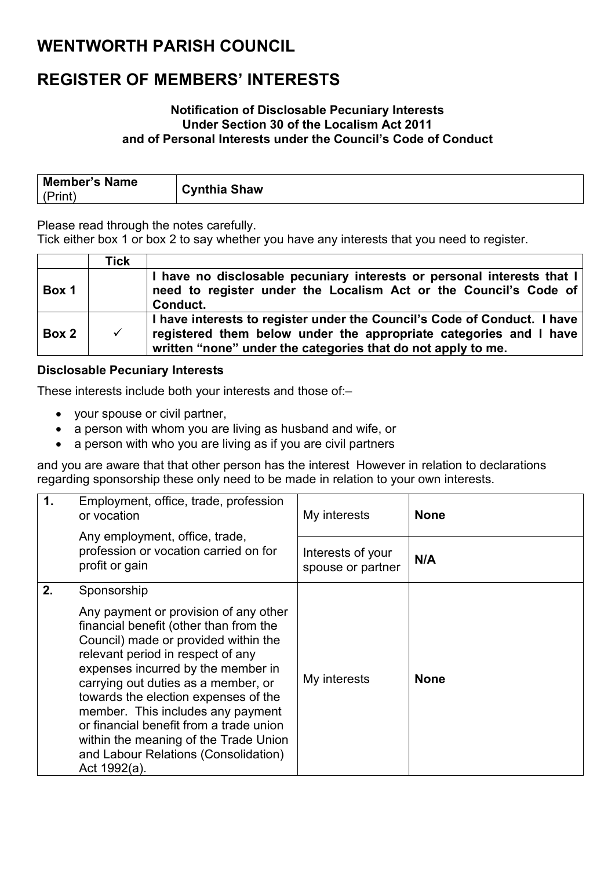### **WENTWORTH PARISH COUNCIL**

## **REGISTER OF MEMBERS' INTERESTS**

#### **Notification of Disclosable Pecuniary Interests Under Section 30 of the Localism Act 2011 and of Personal Interests under the Council's Code of Conduct**

| <b>Member's Name</b> | <b>Cynthia Shaw</b> |
|----------------------|---------------------|
| (Print               |                     |

Please read through the notes carefully.

Tick either box 1 or box 2 to say whether you have any interests that you need to register.

|       | Tick         |                                                                                                                                                                                                               |
|-------|--------------|---------------------------------------------------------------------------------------------------------------------------------------------------------------------------------------------------------------|
| Box 1 |              | I have no disclosable pecuniary interests or personal interests that I<br>need to register under the Localism Act or the Council's Code of<br>Conduct.                                                        |
| Box 2 | $\checkmark$ | I have interests to register under the Council's Code of Conduct. I have<br>registered them below under the appropriate categories and I have<br>written "none" under the categories that do not apply to me. |

### **Disclosable Pecuniary Interests**

These interests include both your interests and those of:–

- your spouse or civil partner,
- a person with whom you are living as husband and wife, or
- a person with who you are living as if you are civil partners

and you are aware that that other person has the interest However in relation to declarations regarding sponsorship these only need to be made in relation to your own interests.

| $\mathbf 1$ | Employment, office, trade, profession<br>or vocation                                                                                                                                                                                                                                                                                                                                                                      | My interests                           | <b>None</b> |
|-------------|---------------------------------------------------------------------------------------------------------------------------------------------------------------------------------------------------------------------------------------------------------------------------------------------------------------------------------------------------------------------------------------------------------------------------|----------------------------------------|-------------|
|             | Any employment, office, trade,<br>profession or vocation carried on for<br>profit or gain                                                                                                                                                                                                                                                                                                                                 | Interests of your<br>spouse or partner | N/A         |
| 2.          | Sponsorship<br>Any payment or provision of any other<br>financial benefit (other than from the<br>Council) made or provided within the<br>relevant period in respect of any<br>expenses incurred by the member in<br>carrying out duties as a member, or<br>towards the election expenses of the<br>member. This includes any payment<br>or financial benefit from a trade union<br>within the meaning of the Trade Union | My interests                           | <b>None</b> |
|             | and Labour Relations (Consolidation)<br>Act 1992(a).                                                                                                                                                                                                                                                                                                                                                                      |                                        |             |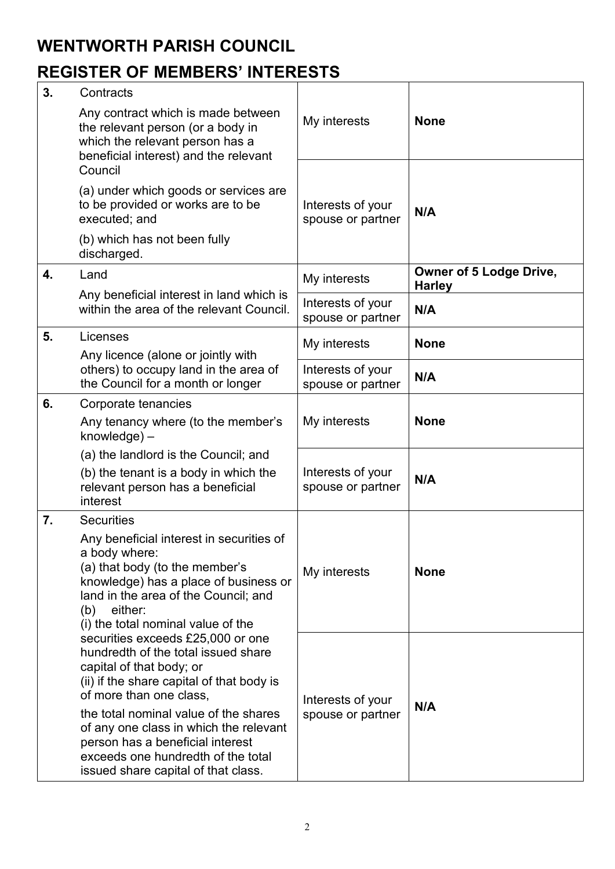### **WENTWORTH PARISH COUNCIL**

## **REGISTER OF MEMBERS' INTERESTS**

| 3. | Contracts                                                                                                                                                                                                                                                                                                                                                                        |                                        |                                                 |
|----|----------------------------------------------------------------------------------------------------------------------------------------------------------------------------------------------------------------------------------------------------------------------------------------------------------------------------------------------------------------------------------|----------------------------------------|-------------------------------------------------|
|    | Any contract which is made between<br>the relevant person (or a body in<br>which the relevant person has a<br>beneficial interest) and the relevant<br>Council                                                                                                                                                                                                                   | My interests                           | <b>None</b>                                     |
|    | (a) under which goods or services are<br>to be provided or works are to be<br>executed; and<br>(b) which has not been fully                                                                                                                                                                                                                                                      | Interests of your<br>spouse or partner | N/A                                             |
|    | discharged.                                                                                                                                                                                                                                                                                                                                                                      |                                        |                                                 |
| 4. | Land                                                                                                                                                                                                                                                                                                                                                                             | My interests                           | <b>Owner of 5 Lodge Drive,</b><br><b>Harley</b> |
|    | Any beneficial interest in land which is<br>within the area of the relevant Council.                                                                                                                                                                                                                                                                                             | Interests of your<br>spouse or partner | N/A                                             |
| 5. | Licenses<br>Any licence (alone or jointly with                                                                                                                                                                                                                                                                                                                                   | My interests                           | <b>None</b>                                     |
|    | others) to occupy land in the area of<br>the Council for a month or longer                                                                                                                                                                                                                                                                                                       | Interests of your<br>spouse or partner | N/A                                             |
| 6. | Corporate tenancies                                                                                                                                                                                                                                                                                                                                                              | My interests                           | <b>None</b>                                     |
|    | Any tenancy where (to the member's<br>$k$ nowledge $)$ –                                                                                                                                                                                                                                                                                                                         |                                        |                                                 |
|    | (a) the landlord is the Council; and<br>(b) the tenant is a body in which the<br>relevant person has a beneficial<br>interest                                                                                                                                                                                                                                                    | Interests of your<br>spouse or partner | N/A                                             |
| 7. | <b>Securities</b><br>Any beneficial interest in securities of<br>a body where:<br>(a) that body (to the member's<br>knowledge) has a place of business or<br>land in the area of the Council; and<br>either:<br>(b)<br>(i) the total nominal value of the                                                                                                                        | My interests                           | <b>None</b>                                     |
|    | securities exceeds £25,000 or one<br>hundredth of the total issued share<br>capital of that body; or<br>(ii) if the share capital of that body is<br>of more than one class,<br>the total nominal value of the shares<br>of any one class in which the relevant<br>person has a beneficial interest<br>exceeds one hundredth of the total<br>issued share capital of that class. | Interests of your<br>spouse or partner | N/A                                             |